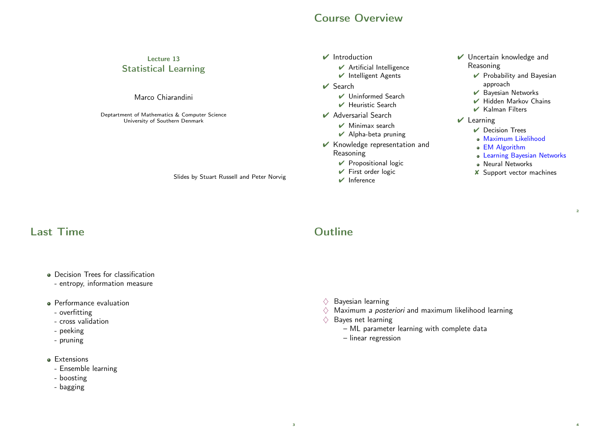#### Course Overview

#### Lecture 13 Statistical Learning

#### Marco Chiarandini

Deptartment of Mathematics & Computer Science University of Southern Denmark

Slides by Stuart Russell and Peter Norvig

#### $\vee$  Introduction

- $\vee$  Artificial Intelligence
- ✔ Intelligent Agents
- $\vee$  Search
	- ✔ Uninformed Search
	- $\vee$  Heuristic Search
- ✔ Adversarial Search
	- $\vee$  Minimax search
	- $\vee$  Alpha-beta pruning
- ✔ Knowledge representation and Reasoning
	- ✔ Propositional logic
	- $\checkmark$  First order logic
	- $\vee$  Inference
- ✔ Uncertain knowledge and Reasoning
	- $\vee$  Probability and Bayesian approach
	- $\vee$  Bayesian Networks
	- $\vee$  Hidden Markov Chains
	- ✔ Kalman Filters
- $V$  Learning
	- $\triangleright$  Decision Trees
	- Maximum Likelihood
	- EM Algorithm
	- Learning Bayesian Networks

 $\overline{2}$ 

4

- Neural Networks
- ✘ Support vector machines

# Last Time

- **Decision Trees for classification** 
	- entropy, information measure
- **•** Performance evaluation
	- overfitting
- cross validation
- peeking
- pruning
- **e** Extensions
- Ensemble learning
- boosting
- bagging

# **Outline**

- $\Diamond$  Bayesian learning
- $\Diamond$  Maximum *a posteriori* and maximum likelihood learning
- $\Diamond$  Bayes net learning
	- ML parameter learning with complete data
	- linear regression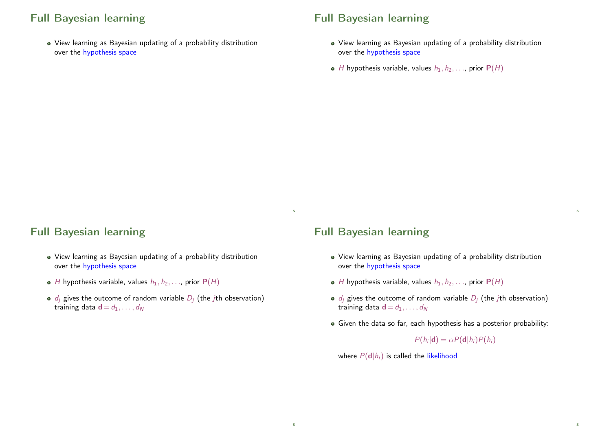# Full Bayesian learning

View learning as Bayesian updating of a probability distribution over the hypothesis space

## Full Bayesian learning

- View learning as Bayesian updating of a probability distribution over the hypothesis space
- $\bullet$  H hypothesis variable, values  $h_1, h_2, \ldots$ , prior  $P(H)$

#### Full Bayesian learning

- View learning as Bayesian updating of a probability distribution over the hypothesis space
- $\bullet$  H hypothesis variable, values  $h_1, h_2, \ldots$ , prior  $P(H)$
- $\bullet$  d<sub>i</sub> gives the outcome of random variable  $D_i$  (the *j*th observation) training data  $\mathbf{d} = d_1, \ldots, d_N$

#### Full Bayesian learning

5

5

- View learning as Bayesian updating of a probability distribution over the hypothesis space
- $\bullet$  H hypothesis variable, values  $h_1, h_2, \ldots$ , prior  $P(H)$
- $\bullet$  d<sub>i</sub> gives the outcome of random variable  $D_i$  (the *j*th observation) training data  $\mathbf{d} = d_1, \ldots, d_N$
- Given the data so far, each hypothesis has a posterior probability:

 $P(h_i|\mathbf{d}) = \alpha P(\mathbf{d}|h_i)P(h_i)$ 

5

5

where  $P(d|h_i)$  is called the likelihood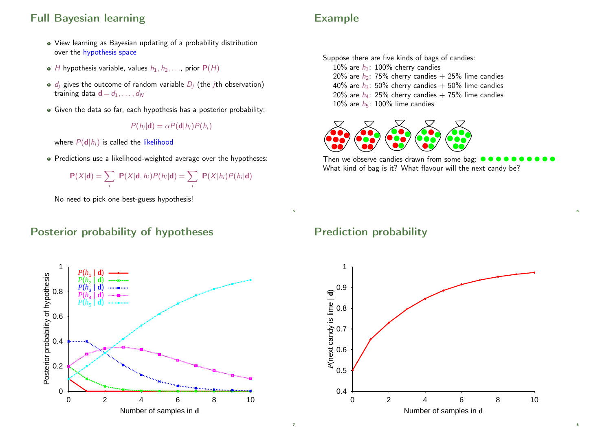# Full Bayesian learning

- View learning as Bayesian updating of a probability distribution over the hypothesis space
- $\bullet$  H hypothesis variable, values  $h_1, h_2, \ldots$ , prior  $P(H)$
- $\bullet$  d<sub>i</sub> gives the outcome of random variable  $D_i$  (the *j*th observation) training data  $\mathbf{d} = d_1, \ldots, d_N$
- Given the data so far, each hypothesis has a posterior probability:

$$
P(h_i|\mathbf{d}) = \alpha P(\mathbf{d}|h_i)P(h_i)
$$

where  $P(\textbf{d}|h_i)$  is called the likelihood

• Predictions use a likelihood-weighted average over the hypotheses:

$$
P(X|d) = \sum_i P(X|d, h_i)P(h_i|d) = \sum_i P(X|h_i)P(h_i|d)
$$

No need to pick one best-guess hypothesis!

#### Posterior probability of hypotheses



# Example

Suppose there are five kinds of bags of candies: 10% are  $h_1$ : 100% cherry candies 20% are  $h_2$ : 75% cherry candies  $+$  25% lime candies 40% are  $h_3$ : 50% cherry candies + 50% lime candies 20% are  $h_4$ : 25% cherry candies + 75% lime candies 10% are  $h_5$ : 100% lime candies



Then we observe candies drawn from some bag:  $\bullet \bullet$ What kind of bag is it? What flavour will the next candy be?

6

8

#### Prediction probability

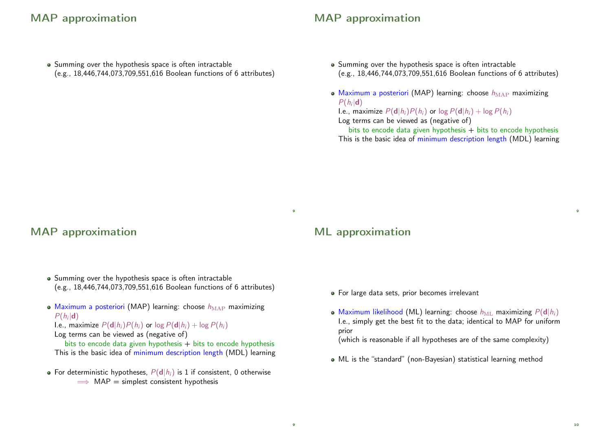## MAP approximation

• Summing over the hypothesis space is often intractable (e.g., 18,446,744,073,709,551,616 Boolean functions of 6 attributes)

# MAP approximation

- Summing over the hypothesis space is often intractable (e.g., 18,446,744,073,709,551,616 Boolean functions of 6 attributes)
- Maximum a posteriori (MAP) learning: choose  $h_{\text{MAP}}$  maximizing  $P(h_i|\mathbf{d})$

I.e., maximize  $P(\mathbf{d}|h_i)P(h_i)$  or  $\log P(\mathbf{d}|h_i) + \log P(h_i)$ Log terms can be viewed as (negative of)

bits to encode data given hypothesis  $+$  bits to encode hypothesis This is the basic idea of minimum description length (MDL) learning

#### MAP approximation

- Summing over the hypothesis space is often intractable (e.g., 18,446,744,073,709,551,616 Boolean functions of 6 attributes)
- Maximum a posteriori (MAP) learning: choose  $h_{\text{MAP}}$  maximizing  $P(h_i|\mathbf{d})$ 
	- I.e., maximize  $P(\mathbf{d}|h_i)P(h_i)$  or  $\log P(\mathbf{d}|h_i) + \log P(h_i)$
	- Log terms can be viewed as (negative of)
	- bits to encode data given hypothesis  $+$  bits to encode hypothesis This is the basic idea of minimum description length (MDL) learning
- For deterministic hypotheses,  $P(d|h_i)$  is 1 if consistent, 0 otherwise  $\implies$  MAP = simplest consistent hypothesis

#### ML approximation

 $\alpha$ 

9

- For large data sets, prior becomes irrelevant
- Maximum likelihood (ML) learning: choose  $h_{\text{ML}}$  maximizing  $P(\mathbf{d}|h_i)$ I.e., simply get the best fit to the data; identical to MAP for uniform prior

(which is reasonable if all hypotheses are of the same complexity)

ML is the "standard" (non-Bayesian) statistical learning method

 $\overline{9}$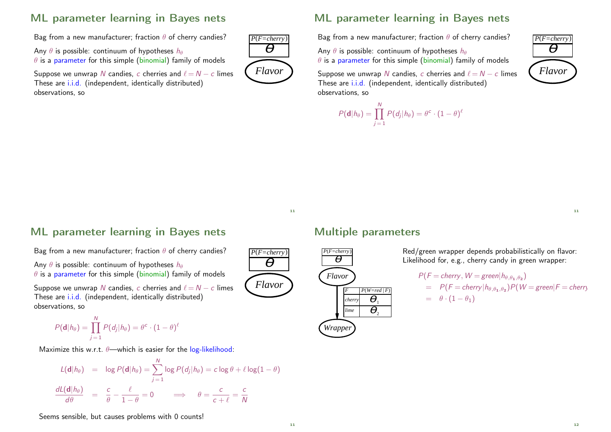# ML parameter learning in Bayes nets

Bag from a new manufacturer; fraction  $\theta$  of cherry candies?

Any  $\theta$  is possible: continuum of hypotheses  $h_{\theta}$  $\theta$  is a parameter for this simple (binomial) family of models

Suppose we unwrap N candies, c cherries and  $\ell = N - c$  limes These are i.i.d. (independent, identically distributed) observations, so



#### ML parameter learning in Bayes nets

Bag from a new manufacturer; fraction  $\theta$  of cherry candies?

Any  $\theta$  is possible: continuum of hypotheses  $h_{\theta}$  $\theta$  is a parameter for this simple (binomial) family of models

Suppose we unwrap N candies, c cherries and  $\ell = N - c$  limes These are i.i.d. (independent, identically distributed) observations, so

$$
P(\mathbf{d}|h_{\theta}) = \prod_{j=1}^{N} P(d_j|h_{\theta}) = \theta^c \cdot (1-\theta)^{\ell}
$$



11

*Flavor*

 $P(F=cherry)$  $\overline{\theta}$ 

#### ML parameter learning in Bayes nets

Bag from a new manufacturer; fraction  $\theta$  of cherry candies?

Any  $\theta$  is possible: continuum of hypotheses  $h_{\theta}$  $\theta$  is a parameter for this simple (binomial) family of models

Suppose we unwrap N candies, c cherries and  $\ell = N - c$  limes These are i.i.d. (independent, identically distributed) observations, so

$$
P(\mathbf{d}|h_{\theta}) = \prod_{j=1}^{N} P(d_j|h_{\theta}) = \theta^c \cdot (1-\theta)^{\ell}
$$

Maximize this w.r.t.  $\theta$ —which is easier for the log-likelihood:

$$
L(\mathbf{d}|h_{\theta}) = \log P(\mathbf{d}|h_{\theta}) = \sum_{j=1}^{N} \log P(d_j|h_{\theta}) = c \log \theta + \ell \log(1-\theta)
$$

$$
\frac{dL(\mathbf{d}|h_{\theta})}{d\theta} = \frac{c}{\theta} - \frac{\ell}{1-\theta} = 0 \implies \theta = \frac{c}{c+\ell} = \frac{c}{N}
$$

Multiple parameters



Red/green wrapper depends probabilistically on flavor: Likelihood for, e.g., cherry candy in green wrapper:

$$
P(F = cherry, W = green | h_{\theta, \theta_1, \theta_2})
$$
  
=  $P(F = cherry | h_{\theta, \theta_1, \theta_2}) P(W = green | F = cherry$   
=  $\theta \cdot (1 - \theta_1)$ 

Seems sensible, but causes problems with 0 counts!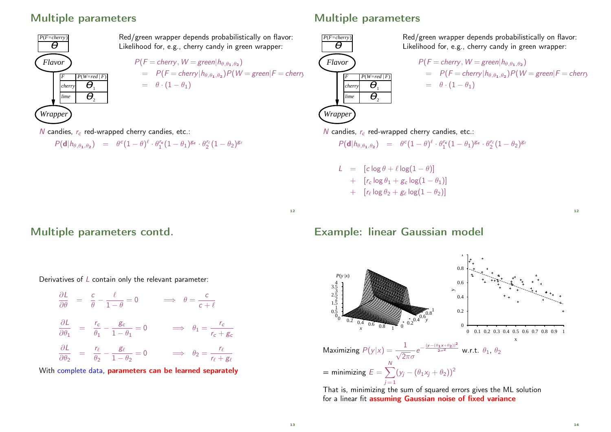#### Multiple parameters



Red/green wrapper depends probabilistically on flavor: Likelihood for, e.g., cherry candy in green wrapper:  $P(F = cherry, W = green | h_{\theta, \theta_1, \theta_2})$  $= P(F = cherry | h_{\theta, \theta_1, \theta_2}) P(W = green | F = cherry)$  $= \theta \cdot (1 - \theta_1)$ 

## Multiple parameters



Red/green wrapper depends probabilistically on flavor: Likelihood for, e.g., cherry candy in green wrapper:

$$
P(F = cherry, W = green | h_{\theta, \theta_1, \theta_2})
$$
  
=  $P(F = cherry | h_{\theta, \theta_1, \theta_2}) P(W = green | F = cherry$   
=  $\theta \cdot (1 - \theta_1)$ 

N candies,  $r_c$  red-wrapped cherry candies, etc.:

$$
P(\mathbf{d}|h_{\theta,\theta_1,\theta_2}) = \theta^c (1-\theta)^{\ell} \cdot \theta_1^{r_c} (1-\theta_1)^{g_c} \cdot \theta_2^{r_{\ell}} (1-\theta_2)^{g_{\ell}}
$$

Multiple parameters contd.

Derivatives of  $L$  contain only the relevant parameter:

$$
\frac{\partial L}{\partial \theta} = \frac{c}{\theta} - \frac{\ell}{1 - \theta} = 0 \implies \theta = \frac{c}{c + \ell}
$$
  

$$
\frac{\partial L}{\partial \theta_1} = \frac{r_c}{\theta_1} - \frac{g_c}{1 - \theta_1} = 0 \implies \theta_1 = \frac{r_c}{r_c + g_c}
$$
  

$$
\frac{\partial L}{\partial \theta_2} = \frac{r_{\ell}}{\theta_2} - \frac{g_{\ell}}{1 - \theta_2} = 0 \implies \theta_2 = \frac{r_{\ell}}{r_{\ell} + g_{\ell}}
$$

With complete data, parameters can be learned separately

#### N candies,  $r_c$  red-wrapped cherry candies, etc.:

$$
P(\mathbf{d}|h_{\theta,\theta_1,\theta_2}) = \theta^c (1-\theta)^{\ell} \cdot \theta_1^{r_c} (1-\theta_1)^{g_c} \cdot \theta_2^{r_{\ell}} (1-\theta_2)^{g_{\ell}}
$$

L =  $[c log \theta + \ell log(1 - \theta)]$ +  $[r_c \log \theta_1 + g_c \log(1-\theta_1)]$  $+$   $[r_\ell \log \theta_2 + g_\ell \log(1 - \theta_2)]$ 

12

#### Example: linear Gaussian model



for a linear fit assuming Gaussian noise of fixed variance

14